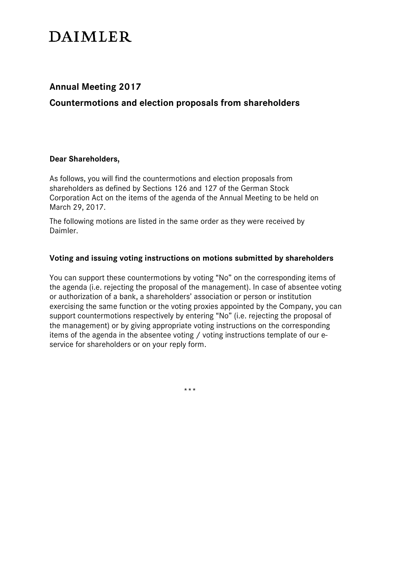# **DAIMLER**

# **Annual Meeting 2017**

**Countermotions and election proposals from shareholders**

# **Dear Shareholders,**

As follows, you will find the countermotions and election proposals from shareholders as defined by Sections 126 and 127 of the German Stock Corporation Act on the items of the agenda of the Annual Meeting to be held on March 29, 2017.

The following motions are listed in the same order as they were received by Daimler.

# **Voting and issuing voting instructions on motions submitted by shareholders**

You can support these countermotions by voting "No" on the corresponding items of the agenda (i.e. rejecting the proposal of the management). In case of absentee voting or authorization of a bank, a shareholders' association or person or institution exercising the same function or the voting proxies appointed by the Company, you can support countermotions respectively by entering "No" (i.e. rejecting the proposal of the management) or by giving appropriate voting instructions on the corresponding items of the agenda in the absentee voting / voting instructions template of our eservice for shareholders or on your reply form.

\*\*\*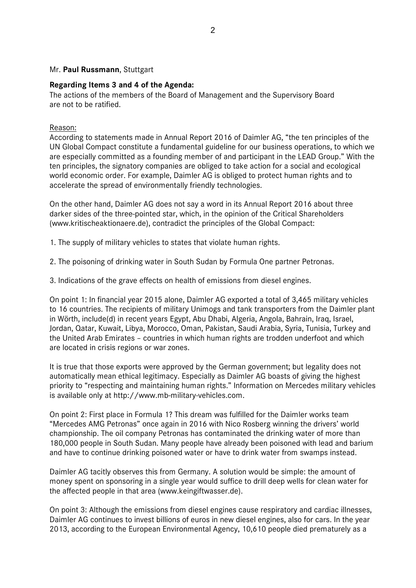#### Mr. **Paul Russmann**, Stuttgart

#### **Regarding Items 3 and 4 of the Agenda:**

The actions of the members of the Board of Management and the Supervisory Board are not to be ratified.

#### Reason:

According to statements made in Annual Report 2016 of Daimler AG, "the ten principles of the UN Global Compact constitute a fundamental guideline for our business operations, to which we are especially committed as a founding member of and participant in the LEAD Group." With the ten principles, the signatory companies are obliged to take action for a social and ecological world economic order. For example, Daimler AG is obliged to protect human rights and to accelerate the spread of environmentally friendly technologies.

On the other hand, Daimler AG does not say a word in its Annual Report 2016 about three darker sides of the three-pointed star, which, in the opinion of the Critical Shareholders (www.kritischeaktionaere.de), contradict the principles of the Global Compact:

1. The supply of military vehicles to states that violate human rights.

2. The poisoning of drinking water in South Sudan by Formula One partner Petronas.

3. Indications of the grave effects on health of emissions from diesel engines.

On point 1: In financial year 2015 alone, Daimler AG exported a total of 3,465 military vehicles to 16 countries. The recipients of military Unimogs and tank transporters from the Daimler plant in Wörth, include(d) in recent years Egypt, Abu Dhabi, Algeria, Angola, Bahrain, Iraq, Israel, Jordan, Qatar, Kuwait, Libya, Morocco, Oman, Pakistan, Saudi Arabia, Syria, Tunisia, Turkey and the United Arab Emirates – countries in which human rights are trodden underfoot and which are located in crisis regions or war zones.

It is true that those exports were approved by the German government; but legality does not automatically mean ethical legitimacy. Especially as Daimler AG boasts of giving the highest priority to "respecting and maintaining human rights." Information on Mercedes military vehicles is available only at http://www.mb-military-vehicles.com.

On point 2: First place in Formula 1? This dream was fulfilled for the Daimler works team "Mercedes AMG Petronas" once again in 2016 with Nico Rosberg winning the drivers' world championship. The oil company Petronas has contaminated the drinking water of more than 180,000 people in South Sudan. Many people have already been poisoned with lead and barium and have to continue drinking poisoned water or have to drink water from swamps instead.

Daimler AG tacitly observes this from Germany. A solution would be simple: the amount of money spent on sponsoring in a single year would suffice to drill deep wells for clean water for the affected people in that area (www.keingiftwasser.de).

On point 3: Although the emissions from diesel engines cause respiratory and cardiac illnesses, Daimler AG continues to invest billions of euros in new diesel engines, also for cars. In the year 2013, according to the European Environmental Agency, 10,610 people died prematurely as a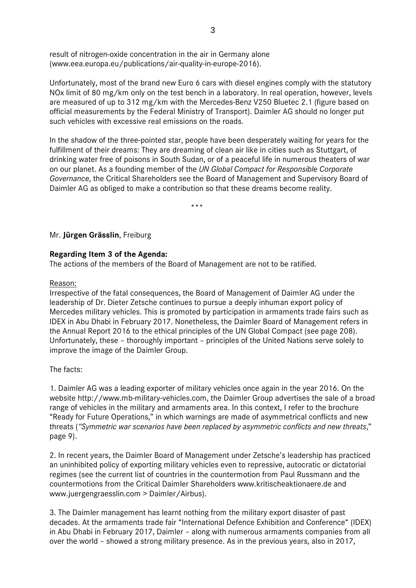result of nitrogen-oxide concentration in the air in Germany alone (www.eea.europa.eu/publications/air-quality-in-europe-2016).

Unfortunately, most of the brand new Euro 6 cars with diesel engines comply with the statutory NOx limit of 80 mg/km only on the test bench in a laboratory. In real operation, however, levels are measured of up to 312 mg/km with the Mercedes-Benz V250 Bluetec 2.1 (figure based on official measurements by the Federal Ministry of Transport). Daimler AG should no longer put such vehicles with excessive real emissions on the roads.

In the shadow of the three-pointed star, people have been desperately waiting for years for the fulfillment of their dreams: They are dreaming of clean air like in cities such as Stuttgart, of drinking water free of poisons in South Sudan, or of a peaceful life in numerous theaters of war on our planet. As a founding member of the *UN Global Compact for Responsible Corporate Governance*, the Critical Shareholders see the Board of Management and Supervisory Board of Daimler AG as obliged to make a contribution so that these dreams become reality.

\*\*\*

Mr. **Jürgen Grässlin**, Freiburg

# **Regarding Item 3 of the Agenda:**

The actions of the members of the Board of Management are not to be ratified.

#### Reason:

Irrespective of the fatal consequences, the Board of Management of Daimler AG under the leadership of Dr. Dieter Zetsche continues to pursue a deeply inhuman export policy of Mercedes military vehicles. This is promoted by participation in armaments trade fairs such as IDEX in Abu Dhabi in February 2017. Nonetheless, the Daimler Board of Management refers in the Annual Report 2016 to the ethical principles of the UN Global Compact (see page 208). Unfortunately, these – thoroughly important – principles of the United Nations serve solely to improve the image of the Daimler Group.

The facts:

1. Daimler AG was a leading exporter of military vehicles once again in the year 2016. On the website http://www.mb-military-vehicles.com, the Daimler Group advertises the sale of a broad range of vehicles in the military and armaments area. In this context, I refer to the brochure "Ready for Future Operations," in which warnings are made of asymmetrical conflicts and new threats (*"Symmetric war scenarios have been replaced by asymmetric conflicts and new threats*," page 9).

2. In recent years, the Daimler Board of Management under Zetsche's leadership has practiced an uninhibited policy of exporting military vehicles even to repressive, autocratic or dictatorial regimes (see the current list of countries in the countermotion from Paul Russmann and the countermotions from the Critical Daimler Shareholders www.kritischeaktionaere.de and www.juergengraesslin.com > Daimler/Airbus).

3. The Daimler management has learnt nothing from the military export disaster of past decades. At the armaments trade fair "International Defence Exhibition and Conference" (IDEX) in Abu Dhabi in February 2017, Daimler – along with numerous armaments companies from all over the world – showed a strong military presence. As in the previous years, also in 2017,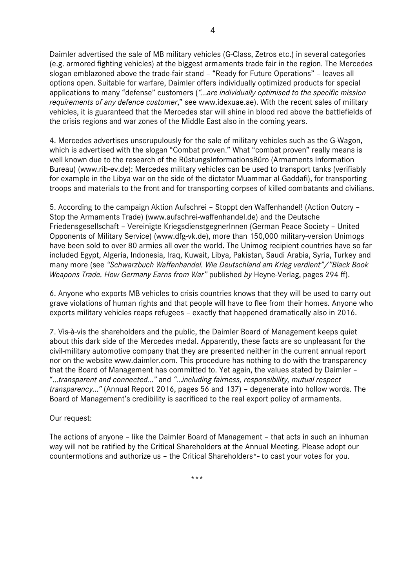Daimler advertised the sale of MB military vehicles (G-Class, Zetros etc.) in several categories (e.g. armored fighting vehicles) at the biggest armaments trade fair in the region. The Mercedes slogan emblazoned above the trade-fair stand – "Ready for Future Operations" – leaves all options open. Suitable for warfare, Daimler offers individually optimized products for special applications to many "defense" customers (*"…are individually optimised to the specific mission requirements of any defence customer*," see www.idexuae.ae). With the recent sales of military vehicles, it is guaranteed that the Mercedes star will shine in blood red above the battlefields of the crisis regions and war zones of the Middle East also in the coming years.

4. Mercedes advertises unscrupulously for the sale of military vehicles such as the G-Wagon, which is advertised with the slogan "Combat proven." What "combat proven" really means is well known due to the research of the RüstungsInformationsBüro (Armaments Information Bureau) (www.rib-ev.de): Mercedes military vehicles can be used to transport tanks (verifiably for example in the Libya war on the side of the dictator Muammar al-Gaddafi), for transporting troops and materials to the front and for transporting corpses of killed combatants and civilians.

5. According to the campaign Aktion Aufschrei – Stoppt den Waffenhandel! (Action Outcry – Stop the Armaments Trade) (www.aufschrei-waffenhandel.de) and the Deutsche Friedensgesellschaft – Vereinigte KriegsdienstgegnerInnen (German Peace Society – United Opponents of Military Service) (www.dfg-vk.de), more than 150,000 military-version Unimogs have been sold to over 80 armies all over the world. The Unimog recipient countries have so far included Egypt, Algeria, Indonesia, Iraq, Kuwait, Libya, Pakistan, Saudi Arabia, Syria, Turkey and many more (see *"Schwarzbuch Waffenhandel. Wie Deutschland am Krieg verdient"/"Black Book Weapons Trade. How Germany Earns from War"* published *by* Heyne-Verlag, pages 294 ff).

6. Anyone who exports MB vehicles to crisis countries knows that they will be used to carry out grave violations of human rights and that people will have to flee from their homes. Anyone who exports military vehicles reaps refugees – exactly that happened dramatically also in 2016.

7. Vis-à-vis the shareholders and the public, the Daimler Board of Management keeps quiet about this dark side of the Mercedes medal. Apparently, these facts are so unpleasant for the civil-military automotive company that they are presented neither in the current annual report nor on the website www.daimler.com. This procedure has nothing to do with the transparency that the Board of Management has committed to. Yet again, the values stated by Daimler – "*…transparent and connected…"* and *"…including fairness, responsibility, mutual respect transparency…"* (Annual Report 2016, pages 56 and 137) – degenerate into hollow words. The Board of Management's credibility is sacrificed to the real export policy of armaments.

#### Our request:

The actions of anyone – like the Daimler Board of Management – that acts in such an inhuman way will not be ratified by the Critical Shareholders at the Annual Meeting. Please adopt our countermotions and authorize us – the Critical Shareholders\*- to cast your votes for you.

\*\*\*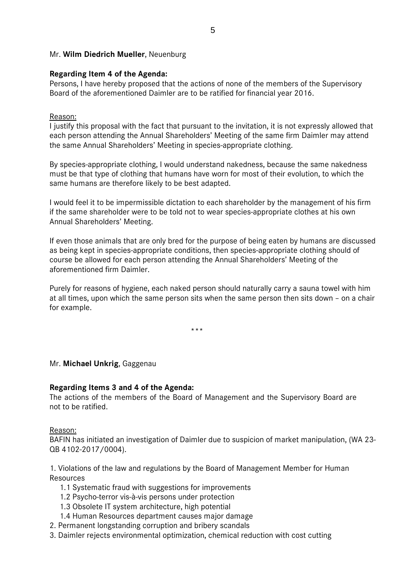# Mr. **Wilm Diedrich Mueller**, Neuenburg

### **Regarding Item 4 of the Agenda:**

Persons, I have hereby proposed that the actions of none of the members of the Supervisory Board of the aforementioned Daimler are to be ratified for financial year 2016.

### Reason:

I justify this proposal with the fact that pursuant to the invitation, it is not expressly allowed that each person attending the Annual Shareholders' Meeting of the same firm Daimler may attend the same Annual Shareholders' Meeting in species-appropriate clothing.

By species-appropriate clothing, I would understand nakedness, because the same nakedness must be that type of clothing that humans have worn for most of their evolution, to which the same humans are therefore likely to be best adapted.

I would feel it to be impermissible dictation to each shareholder by the management of his firm if the same shareholder were to be told not to wear species-appropriate clothes at his own Annual Shareholders' Meeting.

If even those animals that are only bred for the purpose of being eaten by humans are discussed as being kept in species-appropriate conditions, then species-appropriate clothing should of course be allowed for each person attending the Annual Shareholders' Meeting of the aforementioned firm Daimler.

Purely for reasons of hygiene, each naked person should naturally carry a sauna towel with him at all times, upon which the same person sits when the same person then sits down – on a chair for example.

\*\*\*

#### Mr. **Michael Unkrig**, Gaggenau

#### **Regarding Items 3 and 4 of the Agenda:**

The actions of the members of the Board of Management and the Supervisory Board are not to be ratified.

#### Reason:

BAFIN has initiated an investigation of Daimler due to suspicion of market manipulation, (WA 23- QB 4102-2017/0004).

1. Violations of the law and regulations by the Board of Management Member for Human Resources

- 1.1 Systematic fraud with suggestions for improvements
- 1.2 Psycho-terror vis-à-vis persons under protection
- 1.3 Obsolete IT system architecture, high potential
- 1.4 Human Resources department causes major damage
- 2. Permanent longstanding corruption and bribery scandals
- 3. Daimler rejects environmental optimization, chemical reduction with cost cutting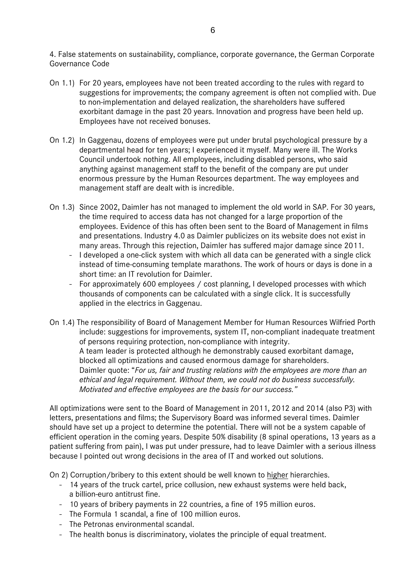4. False statements on sustainability, compliance, corporate governance, the German Corporate Governance Code

- On 1.1) For 20 years, employees have not been treated according to the rules with regard to suggestions for improvements; the company agreement is often not complied with. Due to non-implementation and delayed realization, the shareholders have suffered exorbitant damage in the past 20 years. Innovation and progress have been held up. Employees have not received bonuses.
- On 1.2) In Gaggenau, dozens of employees were put under brutal psychological pressure by a departmental head for ten years; I experienced it myself. Many were ill. The Works Council undertook nothing. All employees, including disabled persons, who said anything against management staff to the benefit of the company are put under enormous pressure by the Human Resources department. The way employees and management staff are dealt with is incredible.
- On 1.3) Since 2002, Daimler has not managed to implement the old world in SAP. For 30 years, the time required to access data has not changed for a large proportion of the employees. Evidence of this has often been sent to the Board of Management in films and presentations. Industry 4.0 as Daimler publicizes on its website does not exist in many areas. Through this rejection, Daimler has suffered major damage since 2011.
	- I developed a one-click system with which all data can be generated with a single click instead of time-consuming template marathons. The work of hours or days is done in a short time: an IT revolution for Daimler.
	- For approximately 600 employees / cost planning, I developed processes with which thousands of components can be calculated with a single click. It is successfully applied in the electrics in Gaggenau.
- On 1.4) The responsibility of Board of Management Member for Human Resources Wilfried Porth include: suggestions for improvements, system IT, non-compliant inadequate treatment of persons requiring protection, non-compliance with integrity. A team leader is protected although he demonstrably caused exorbitant damage, blocked all optimizations and caused enormous damage for shareholders. Daimler quote: "*For us, fair and trusting relations with the employees are more than an ethical and legal requirement. Without them, we could not do business successfully. Motivated and effective employees are the basis for our success."*

All optimizations were sent to the Board of Management in 2011, 2012 and 2014 (also P3) with letters, presentations and films; the Supervisory Board was informed several times. Daimler should have set up a project to determine the potential. There will not be a system capable of efficient operation in the coming years. Despite 50% disability (8 spinal operations, 13 years as a patient suffering from pain), I was put under pressure, had to leave Daimler with a serious illness because I pointed out wrong decisions in the area of IT and worked out solutions.

On 2) Corruption/bribery to this extent should be well known to higher hierarchies.

- 14 years of the truck cartel, price collusion, new exhaust systems were held back, a billion-euro antitrust fine.
- 10 years of bribery payments in 22 countries, a fine of 195 million euros.
- The Formula 1 scandal, a fine of 100 million euros.
- The Petronas environmental scandal.
- The health bonus is discriminatory, violates the principle of equal treatment.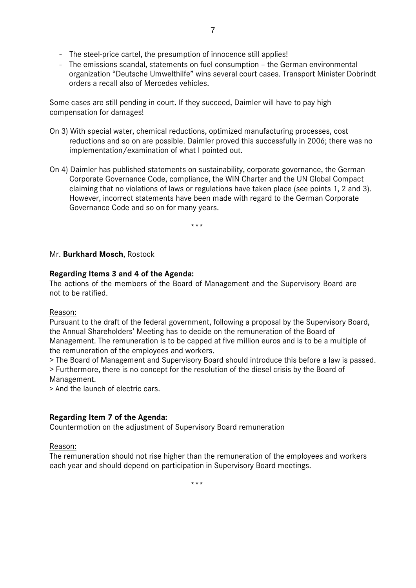- The steel-price cartel, the presumption of innocence still applies!
- The emissions scandal, statements on fuel consumption the German environmental organization "Deutsche Umwelthilfe" wins several court cases. Transport Minister Dobrindt orders a recall also of Mercedes vehicles.

Some cases are still pending in court. If they succeed, Daimler will have to pay high compensation for damages!

- On 3) With special water, chemical reductions, optimized manufacturing processes, cost reductions and so on are possible. Daimler proved this successfully in 2006; there was no implementation/examination of what I pointed out.
- On 4) Daimler has published statements on sustainability, corporate governance, the German Corporate Governance Code, compliance, the WIN Charter and the UN Global Compact claiming that no violations of laws or regulations have taken place (see points 1, 2 and 3). However, incorrect statements have been made with regard to the German Corporate Governance Code and so on for many years.

.<br>مارس بلا

# Mr. **Burkhard Mosch**, Rostock

# **Regarding Items 3 and 4 of the Agenda:**

The actions of the members of the Board of Management and the Supervisory Board are not to be ratified.

Reason:

Pursuant to the draft of the federal government, following a proposal by the Supervisory Board, the Annual Shareholders' Meeting has to decide on the remuneration of the Board of Management. The remuneration is to be capped at five million euros and is to be a multiple of the remuneration of the employees and workers.

> The Board of Management and Supervisory Board should introduce this before a law is passed. > Furthermore, there is no concept for the resolution of the diesel crisis by the Board of Management.

> And the launch of electric cars.

# **Regarding Item 7 of the Agenda:**

Countermotion on the adjustment of Supervisory Board remuneration

#### Reason:

The remuneration should not rise higher than the remuneration of the employees and workers each year and should depend on participation in Supervisory Board meetings.

\*\*\*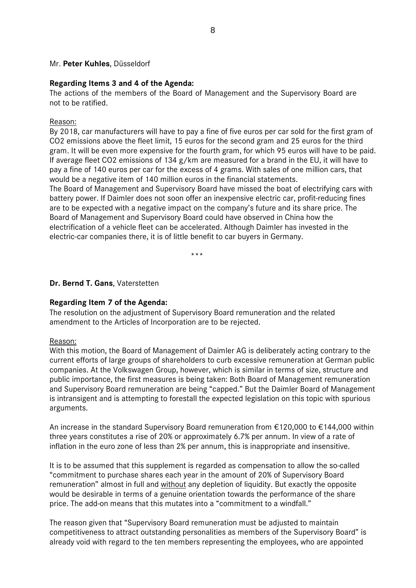#### Mr. **Peter Kuhles**, Düsseldorf

#### **Regarding Items 3 and 4 of the Agenda:**

The actions of the members of the Board of Management and the Supervisory Board are not to be ratified.

#### Reason:

By 2018, car manufacturers will have to pay a fine of five euros per car sold for the first gram of CO2 emissions above the fleet limit, 15 euros for the second gram and 25 euros for the third gram. It will be even more expensive for the fourth gram, for which 95 euros will have to be paid. If average fleet CO2 emissions of 134 g/km are measured for a brand in the EU, it will have to pay a fine of 140 euros per car for the excess of 4 grams. With sales of one million cars, that would be a negative item of 140 million euros in the financial statements.

The Board of Management and Supervisory Board have missed the boat of electrifying cars with battery power. If Daimler does not soon offer an inexpensive electric car, profit-reducing fines are to be expected with a negative impact on the company's future and its share price. The Board of Management and Supervisory Board could have observed in China how the electrification of a vehicle fleet can be accelerated. Although Daimler has invested in the electric-car companies there, it is of little benefit to car buyers in Germany.

\*\*\*

**Dr. Bernd T. Gans**, Vaterstetten

#### **Regarding Item 7 of the Agenda:**

The resolution on the adjustment of Supervisory Board remuneration and the related amendment to the Articles of Incorporation are to be rejected.

#### Reason:

With this motion, the Board of Management of Daimler AG is deliberately acting contrary to the current efforts of large groups of shareholders to curb excessive remuneration at German public companies. At the Volkswagen Group, however, which is similar in terms of size, structure and public importance, the first measures is being taken: Both Board of Management remuneration and Supervisory Board remuneration are being "capped." But the Daimler Board of Management is intransigent and is attempting to forestall the expected legislation on this topic with spurious arguments.

An increase in the standard Supervisory Board remuneration from €120,000 to €144,000 within three years constitutes a rise of 20% or approximately 6.7% per annum. In view of a rate of inflation in the euro zone of less than 2% per annum, this is inappropriate and insensitive.

It is to be assumed that this supplement is regarded as compensation to allow the so-called "commitment to purchase shares each year in the amount of 20% of Supervisory Board remuneration" almost in full and without any depletion of liquidity. But exactly the opposite would be desirable in terms of a genuine orientation towards the performance of the share price. The add-on means that this mutates into a "commitment to a windfall."

The reason given that "Supervisory Board remuneration must be adjusted to maintain competitiveness to attract outstanding personalities as members of the Supervisory Board" is already void with regard to the ten members representing the employees, who are appointed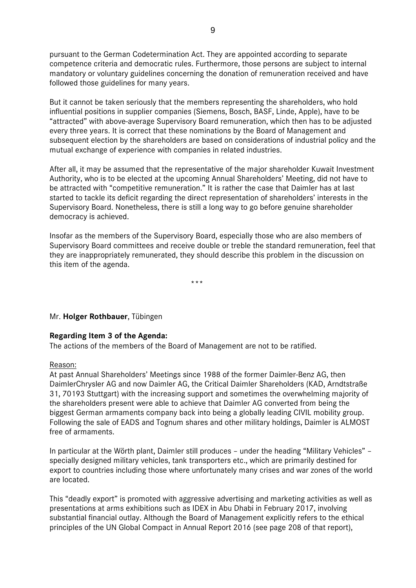pursuant to the German Codetermination Act. They are appointed according to separate competence criteria and democratic rules. Furthermore, those persons are subject to internal mandatory or voluntary guidelines concerning the donation of remuneration received and have followed those guidelines for many years.

But it cannot be taken seriously that the members representing the shareholders, who hold influential positions in supplier companies (Siemens, Bosch, BASF, Linde, Apple), have to be "attracted" with above-average Supervisory Board remuneration, which then has to be adjusted every three years. It is correct that these nominations by the Board of Management and subsequent election by the shareholders are based on considerations of industrial policy and the mutual exchange of experience with companies in related industries.

After all, it may be assumed that the representative of the major shareholder Kuwait Investment Authority, who is to be elected at the upcoming Annual Shareholders' Meeting, did not have to be attracted with "competitive remuneration." It is rather the case that Daimler has at last started to tackle its deficit regarding the direct representation of shareholders' interests in the Supervisory Board. Nonetheless, there is still a long way to go before genuine shareholder democracy is achieved.

Insofar as the members of the Supervisory Board, especially those who are also members of Supervisory Board committees and receive double or treble the standard remuneration, feel that they are inappropriately remunerated, they should describe this problem in the discussion on this item of the agenda.

\*\*\*

Mr. **Holger Rothbauer**, Tübingen

# **Regarding Item 3 of the Agenda:**

The actions of the members of the Board of Management are not to be ratified.

#### Reason:

At past Annual Shareholders' Meetings since 1988 of the former Daimler-Benz AG, then DaimlerChrysler AG and now Daimler AG, the Critical Daimler Shareholders (KAD, Arndtstraße 31, 70193 Stuttgart) with the increasing support and sometimes the overwhelming majority of the shareholders present were able to achieve that Daimler AG converted from being the biggest German armaments company back into being a globally leading CIVIL mobility group. Following the sale of EADS and Tognum shares and other military holdings, Daimler is ALMOST free of armaments.

In particular at the Wörth plant, Daimler still produces – under the heading "Military Vehicles" – specially designed military vehicles, tank transporters etc., which are primarily destined for export to countries including those where unfortunately many crises and war zones of the world are located.

This "deadly export" is promoted with aggressive advertising and marketing activities as well as presentations at arms exhibitions such as IDEX in Abu Dhabi in February 2017, involving substantial financial outlay. Although the Board of Management explicitly refers to the ethical principles of the UN Global Compact in Annual Report 2016 (see page 208 of that report),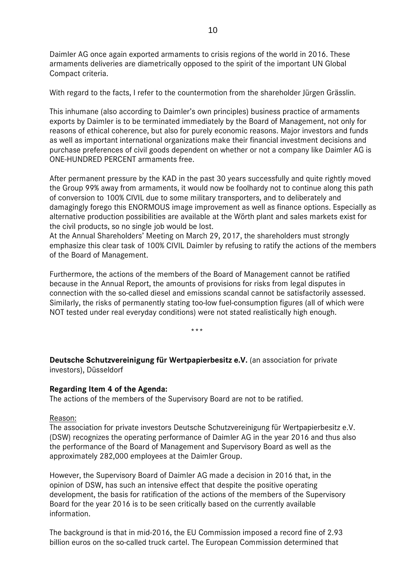Daimler AG once again exported armaments to crisis regions of the world in 2016. These armaments deliveries are diametrically opposed to the spirit of the important UN Global Compact criteria.

With regard to the facts, I refer to the countermotion from the shareholder Jürgen Grässlin.

This inhumane (also according to Daimler's own principles) business practice of armaments exports by Daimler is to be terminated immediately by the Board of Management, not only for reasons of ethical coherence, but also for purely economic reasons. Major investors and funds as well as important international organizations make their financial investment decisions and purchase preferences of civil goods dependent on whether or not a company like Daimler AG is ONE-HUNDRED PERCENT armaments free.

After permanent pressure by the KAD in the past 30 years successfully and quite rightly moved the Group 99% away from armaments, it would now be foolhardy not to continue along this path of conversion to 100% CIVIL due to some military transporters, and to deliberately and damagingly forego this ENORMOUS image improvement as well as finance options. Especially as alternative production possibilities are available at the Wörth plant and sales markets exist for the civil products, so no single job would be lost.

At the Annual Shareholders' Meeting on March 29, 2017, the shareholders must strongly emphasize this clear task of 100% CIVIL Daimler by refusing to ratify the actions of the members of the Board of Management.

Furthermore, the actions of the members of the Board of Management cannot be ratified because in the Annual Report, the amounts of provisions for risks from legal disputes in connection with the so-called diesel and emissions scandal cannot be satisfactorily assessed. Similarly, the risks of permanently stating too-low fuel-consumption figures (all of which were NOT tested under real everyday conditions) were not stated realistically high enough.

\*\*\*

**Deutsche Schutzvereinigung für Wertpapierbesitz e.V.** (an association for private investors), Düsseldorf

# **Regarding Item 4 of the Agenda:**

The actions of the members of the Supervisory Board are not to be ratified.

#### Reason:

The association for private investors Deutsche Schutzvereinigung für Wertpapierbesitz e.V. (DSW) recognizes the operating performance of Daimler AG in the year 2016 and thus also the performance of the Board of Management and Supervisory Board as well as the approximately 282,000 employees at the Daimler Group.

However, the Supervisory Board of Daimler AG made a decision in 2016 that, in the opinion of DSW, has such an intensive effect that despite the positive operating development, the basis for ratification of the actions of the members of the Supervisory Board for the year 2016 is to be seen critically based on the currently available information.

The background is that in mid-2016, the EU Commission imposed a record fine of 2.93 billion euros on the so-called truck cartel. The European Commission determined that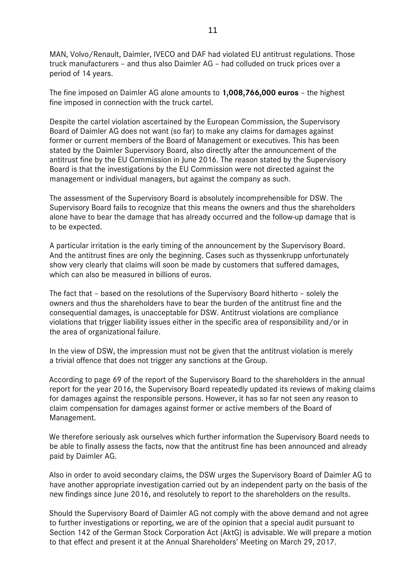MAN, Volvo/Renault, Daimler, IVECO and DAF had violated EU antitrust regulations. Those truck manufacturers – and thus also Daimler AG – had colluded on truck prices over a period of 14 years.

The fine imposed on Daimler AG alone amounts to **1,008,766,000 euros** – the highest fine imposed in connection with the truck cartel.

Despite the cartel violation ascertained by the European Commission, the Supervisory Board of Daimler AG does not want (so far) to make any claims for damages against former or current members of the Board of Management or executives. This has been stated by the Daimler Supervisory Board, also directly after the announcement of the antitrust fine by the EU Commission in June 2016. The reason stated by the Supervisory Board is that the investigations by the EU Commission were not directed against the management or individual managers, but against the company as such.

The assessment of the Supervisory Board is absolutely incomprehensible for DSW. The Supervisory Board fails to recognize that this means the owners and thus the shareholders alone have to bear the damage that has already occurred and the follow-up damage that is to be expected.

A particular irritation is the early timing of the announcement by the Supervisory Board. And the antitrust fines are only the beginning. Cases such as thyssenkrupp unfortunately show very clearly that claims will soon be made by customers that suffered damages, which can also be measured in billions of euros.

The fact that – based on the resolutions of the Supervisory Board hitherto – solely the owners and thus the shareholders have to bear the burden of the antitrust fine and the consequential damages, is unacceptable for DSW. Antitrust violations are compliance violations that trigger liability issues either in the specific area of responsibility and/or in the area of organizational failure.

In the view of DSW, the impression must not be given that the antitrust violation is merely a trivial offence that does not trigger any sanctions at the Group.

According to page 69 of the report of the Supervisory Board to the shareholders in the annual report for the year 2016, the Supervisory Board repeatedly updated its reviews of making claims for damages against the responsible persons. However, it has so far not seen any reason to claim compensation for damages against former or active members of the Board of Management.

We therefore seriously ask ourselves which further information the Supervisory Board needs to be able to finally assess the facts, now that the antitrust fine has been announced and already paid by Daimler AG.

Also in order to avoid secondary claims, the DSW urges the Supervisory Board of Daimler AG to have another appropriate investigation carried out by an independent party on the basis of the new findings since June 2016, and resolutely to report to the shareholders on the results.

Should the Supervisory Board of Daimler AG not comply with the above demand and not agree to further investigations or reporting, we are of the opinion that a special audit pursuant to Section 142 of the German Stock Corporation Act (AktG) is advisable. We will prepare a motion to that effect and present it at the Annual Shareholders' Meeting on March 29, 2017.